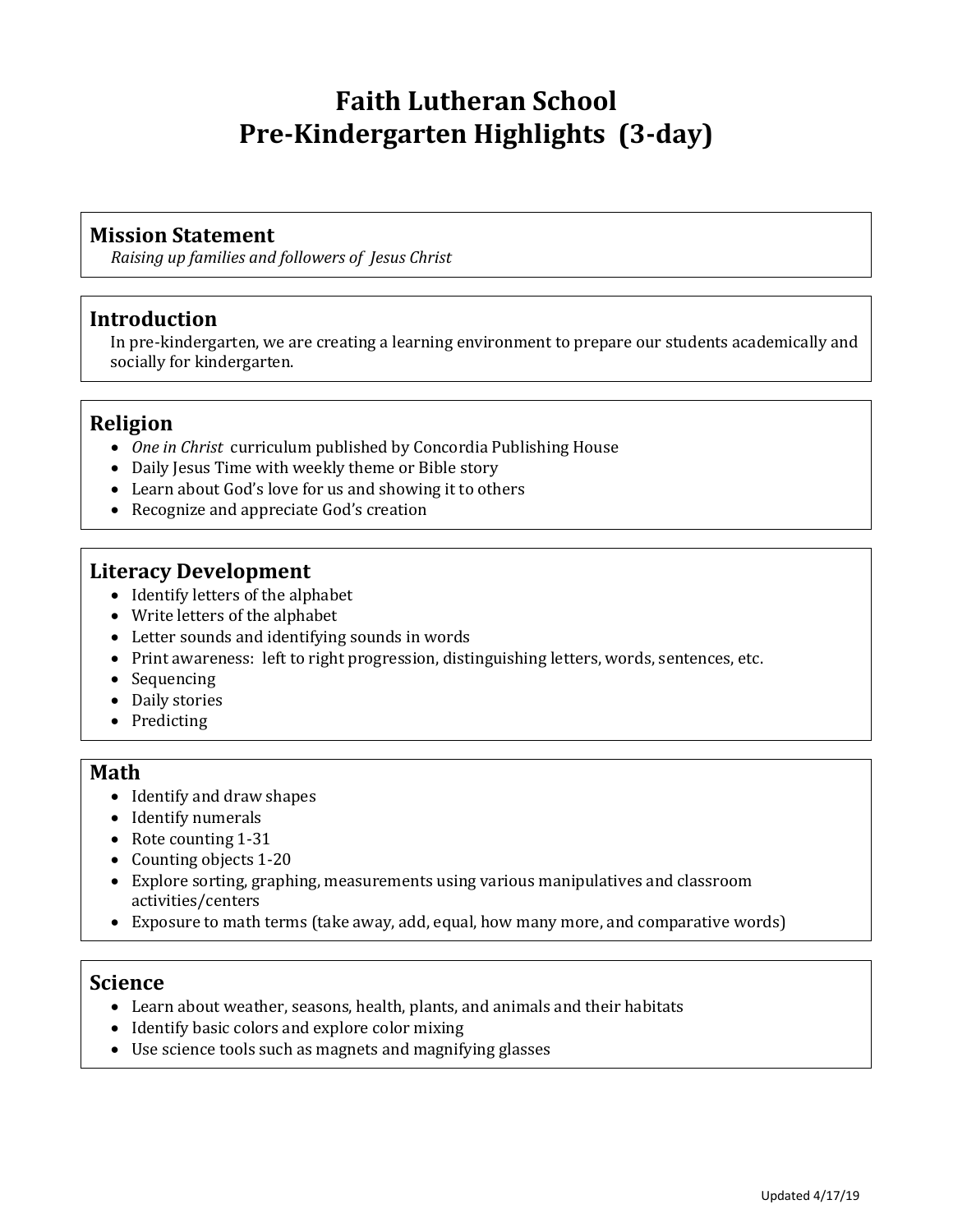# **Faith Lutheran School Pre-Kindergarten Highlights (3-day)**

### **Mission Statement**

*Raising up families and followers of Jesus Christ*

## **Introduction**

In pre-kindergarten, we are creating a learning environment to prepare our students academically and socially for kindergarten.

## **Religion**

- *One in Christ* curriculum published by Concordia Publishing House
- Daily Jesus Time with weekly theme or Bible story
- Learn about God's love for us and showing it to others
- Recognize and appreciate God's creation

## **Literacy Development**

- Identify letters of the alphabet
- Write letters of the alphabet
- Letter sounds and identifying sounds in words
- Print awareness: left to right progression, distinguishing letters, words, sentences, etc.
- Sequencing
- Daily stories
- Predicting

#### **Math**

- Identify and draw shapes
- Identify numerals
- Rote counting 1-31
- Counting objects 1-20
- Explore sorting, graphing, measurements using various manipulatives and classroom activities/centers
- Exposure to math terms (take away, add, equal, how many more, and comparative words)

#### **Science**

- Learn about weather, seasons, health, plants, and animals and their habitats
- Identify basic colors and explore color mixing
- Use science tools such as magnets and magnifying glasses